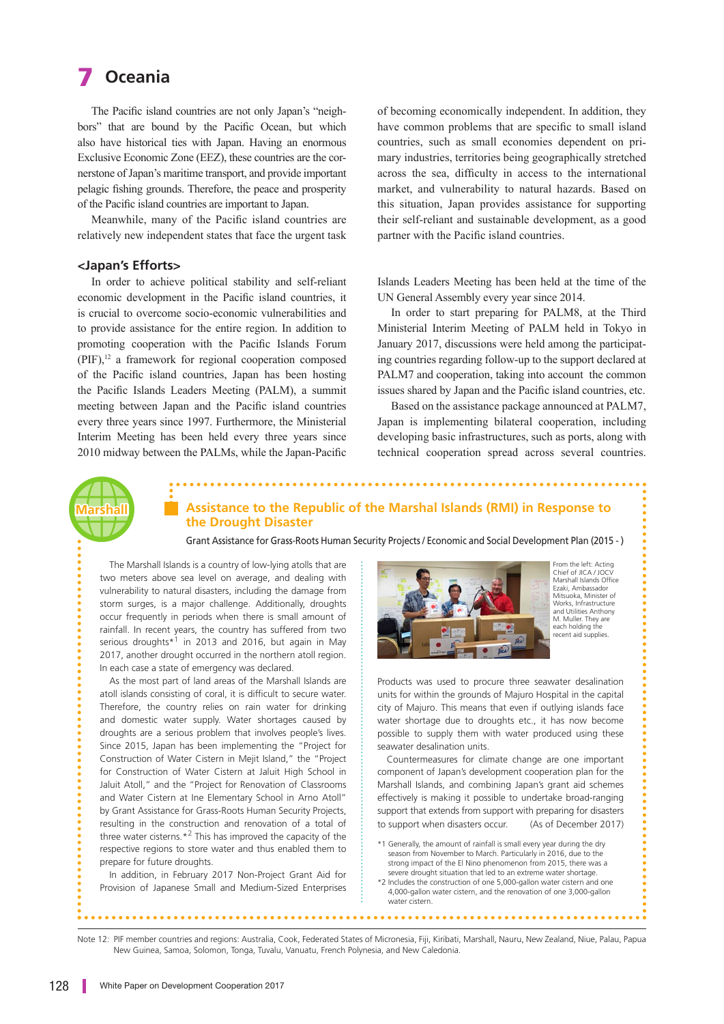# 7 **Oceania**

The Pacific island countries are not only Japan's "neighbors" that are bound by the Pacific Ocean, but which also have historical ties with Japan. Having an enormous Exclusive Economic Zone (EEZ), these countries are the cornerstone of Japan's maritime transport, and provide important pelagic fishing grounds. Therefore, the peace and prosperity of the Pacific island countries are important to Japan.

Meanwhile, many of the Pacific island countries are relatively new independent states that face the urgent task

#### **<Japan's Efforts>**

In order to achieve political stability and self-reliant economic development in the Pacific island countries, it is crucial to overcome socio-economic vulnerabilities and to provide assistance for the entire region. In addition to promoting cooperation with the Pacific Islands Forum  $(PIF)$ ,<sup>12</sup> a framework for regional cooperation composed of the Pacific island countries, Japan has been hosting the Pacific Islands Leaders Meeting (PALM), a summit meeting between Japan and the Pacific island countries every three years since 1997. Furthermore, the Ministerial Interim Meeting has been held every three years since 2010 midway between the PALMs, while the Japan-Pacific

of becoming economically independent. In addition, they have common problems that are specific to small island countries, such as small economies dependent on primary industries, territories being geographically stretched across the sea, difficulty in access to the international market, and vulnerability to natural hazards. Based on this situation, Japan provides assistance for supporting their self-reliant and sustainable development, as a good partner with the Pacific island countries.

Islands Leaders Meeting has been held at the time of the UN General Assembly every year since 2014.

In order to start preparing for PALM8, at the Third Ministerial Interim Meeting of PALM held in Tokyo in January 2017, discussions were held among the participating countries regarding follow-up to the support declared at PALM7 and cooperation, taking into account the common issues shared by Japan and the Pacific island countries, etc.

Based on the assistance package announced at PALM7, Japan is implementing bilateral cooperation, including developing basic infrastructures, such as ports, along with technical cooperation spread across several countries.

## **Marshall Assistance to the Republic of the Marshal Islands (RMI) in Response to the Drought Disaster**

Grant Assistance for Grass-Roots Human Security Projects / Economic and Social Development Plan (2015 - )

The Marshall Islands is a country of low-lying atolls that are two meters above sea level on average, and dealing with vulnerability to natural disasters, including the damage from storm surges, is a major challenge. Additionally, droughts occur frequently in periods when there is small amount of rainfall. In recent years, the country has suffered from two serious droughts<sup> $*1$ </sup> in 2013 and 2016, but again in May 2017, another drought occurred in the northern atoll region. In each case a state of emergency was declared.

As the most part of land areas of the Marshall Islands are atoll islands consisting of coral, it is difficult to secure water. Therefore, the country relies on rain water for drinking and domestic water supply. Water shortages caused by droughts are a serious problem that involves people's lives. Since 2015, Japan has been implementing the "Project for Construction of Water Cistern in Mejit Island," the "Project for Construction of Water Cistern at Jaluit High School in Jaluit Atoll," and the "Project for Renovation of Classrooms and Water Cistern at Ine Elementary School in Arno Atoll" by Grant Assistance for Grass-Roots Human Security Projects, resulting in the construction and renovation of a total of three water cisterns.\*<sup>2</sup> This has improved the capacity of the respective regions to store water and thus enabled them to prepare for future droughts.

In addition, in February 2017 Non-Project Grant Aid for Provision of Japanese Small and Medium-Sized Enterprises



From the left: Acting Chief of JICA / JOCV Marshall Islands Office Ezaki, Ambassador Mitsuoka, Minister of Works, Infrastructure and Utilities Anthony M. Muller. They are each holding th recent aid supplies.

Products was used to procure three seawater desalination units for within the grounds of Majuro Hospital in the capital city of Majuro. This means that even if outlying islands face water shortage due to droughts etc., it has now become possible to supply them with water produced using these seawater desalination units.

Countermeasures for climate change are one important component of Japan's development cooperation plan for the Marshall Islands, and combining Japan's grant aid schemes effectively is making it possible to undertake broad-ranging support that extends from support with preparing for disasters to support when disasters occur. (As of December 2017)

\*1 Generally, the amount of rainfall is small every year during the dry season from November to March. Particularly in 2016, due to the strong impact of the El Nino phenomenon from 2015, there was a severe drought situation that led to an extreme water shortage.

\*2 Includes the construction of one 5,000-gallon water cistern and one 4,000-gallon water cistern, and the renovation of one 3,000-gallon water cistern.

Note 12: PIF member countries and regions: Australia, Cook, Federated States of Micronesia, Fiji, Kiribati, Marshall, Nauru, New Zealand, Niue, Palau, Papua New Guinea, Samoa, Solomon, Tonga, Tuvalu, Vanuatu, French Polynesia, and New Caledonia.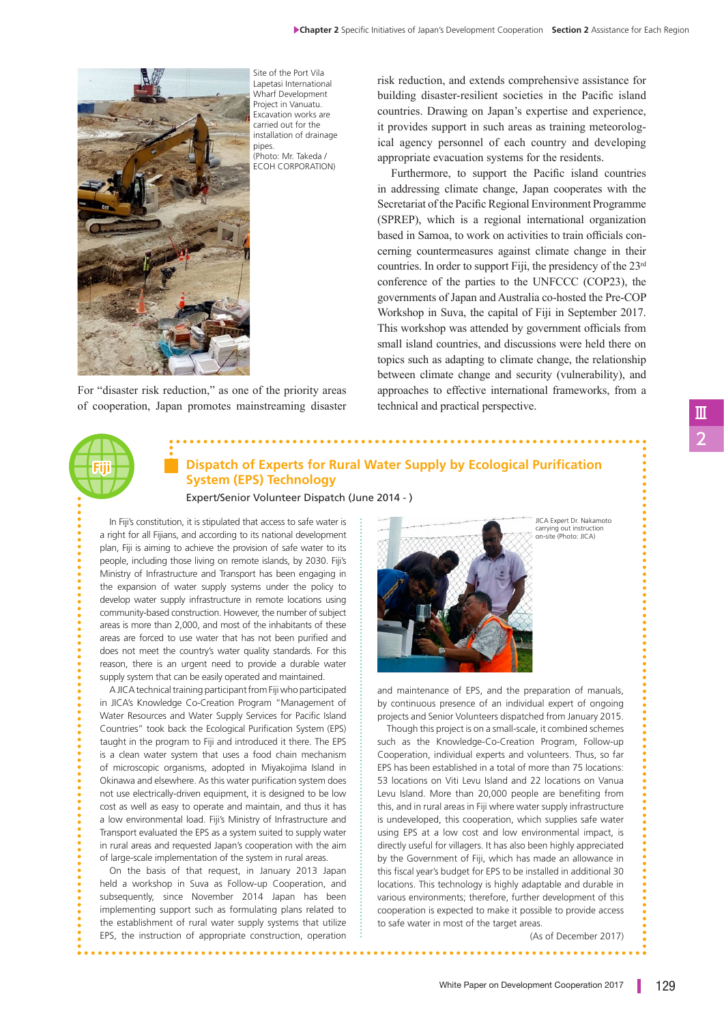

Site of the Port Vila Lapetasi International Wharf Development Project in Vanuatu. Excavation works are carried out for the installation of drainage pipes (Photo: Mr. Takeda / ECOH CORPORATION)

For "disaster risk reduction," as one of the priority areas of cooperation, Japan promotes mainstreaming disaster risk reduction, and extends comprehensive assistance for building disaster-resilient societies in the Pacific island countries. Drawing on Japan's expertise and experience, it provides support in such areas as training meteorological agency personnel of each country and developing appropriate evacuation systems for the residents.

Furthermore, to support the Pacific island countries in addressing climate change, Japan cooperates with the Secretariat of the Pacific Regional Environment Programme (SPREP), which is a regional international organization based in Samoa, to work on activities to train officials concerning countermeasures against climate change in their countries. In order to support Fiji, the presidency of the 23rd conference of the parties to the UNFCCC (COP23), the governments of Japan and Australia co-hosted the Pre-COP Workshop in Suva, the capital of Fiji in September 2017. This workshop was attended by government officials from small island countries, and discussions were held there on topics such as adapting to climate change, the relationship between climate change and security (vulnerability), and approaches to effective international frameworks, from a technical and practical perspective.

## **Dispatch of Experts for Rural Water Supply by Ecological Purification System (EPS) Technology**

Expert/Senior Volunteer Dispatch (June 2014 - )

In Fiji's constitution, it is stipulated that access to safe water is a right for all Fijians, and according to its national development plan, Fiji is aiming to achieve the provision of safe water to its people, including those living on remote islands, by 2030. Fiji's Ministry of Infrastructure and Transport has been engaging in the expansion of water supply systems under the policy to develop water supply infrastructure in remote locations using community-based construction. However, the number of subject areas is more than 2,000, and most of the inhabitants of these areas are forced to use water that has not been purified and does not meet the country's water quality standards. For this reason, there is an urgent need to provide a durable water supply system that can be easily operated and maintained.

A JICA technical training participant from Fiji who participated in JICA's Knowledge Co-Creation Program "Management of Water Resources and Water Supply Services for Pacific Island Countries" took back the Ecological Purification System (EPS) taught in the program to Fiji and introduced it there. The EPS is a clean water system that uses a food chain mechanism of microscopic organisms, adopted in Miyakojima Island in Okinawa and elsewhere. As this water purification system does not use electrically-driven equipment, it is designed to be low cost as well as easy to operate and maintain, and thus it has a low environmental load. Fiji's Ministry of Infrastructure and Transport evaluated the EPS as a system suited to supply water in rural areas and requested Japan's cooperation with the aim of large-scale implementation of the system in rural areas.

On the basis of that request, in January 2013 Japan held a workshop in Suva as Follow-up Cooperation, and subsequently, since November 2014 Japan has been implementing support such as formulating plans related to the establishment of rural water supply systems that utilize EPS, the instruction of appropriate construction, operation



. . . . . . . . . . . . . . . . . .

and maintenance of EPS, and the preparation of manuals, by continuous presence of an individual expert of ongoing projects and Senior Volunteers dispatched from January 2015.

Though this project is on a small-scale, it combined schemes such as the Knowledge-Co-Creation Program, Follow-up Cooperation, individual experts and volunteers. Thus, so far EPS has been established in a total of more than 75 locations: 53 locations on Viti Levu Island and 22 locations on Vanua Levu Island. More than 20,000 people are benefiting from this, and in rural areas in Fiji where water supply infrastructure is undeveloped, this cooperation, which supplies safe water using EPS at a low cost and low environmental impact, is directly useful for villagers. It has also been highly appreciated by the Government of Fiji, which has made an allowance in this fiscal year's budget for EPS to be installed in additional 30 locations. This technology is highly adaptable and durable in various environments; therefore, further development of this cooperation is expected to make it possible to provide access to safe water in most of the target areas.

(As of December 2017)